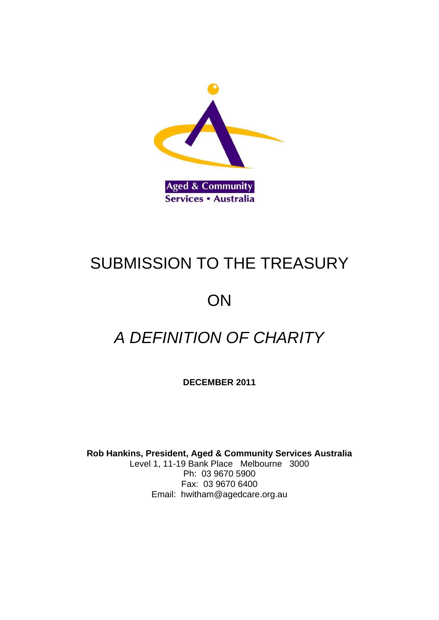

# SUBMISSION TO THE TREASURY

# **ON**

# *A DEFINITION OF CHARITY*

**DECEMBER 2011**

**Rob Hankins, President, Aged & Community Services Australia** Level 1, 11-19 Bank Place Melbourne 3000 Ph: 03 9670 5900 Fax: 03 9670 6400 Email: hwitha[m@agedcare.org.au](http://agedcare.org.au/)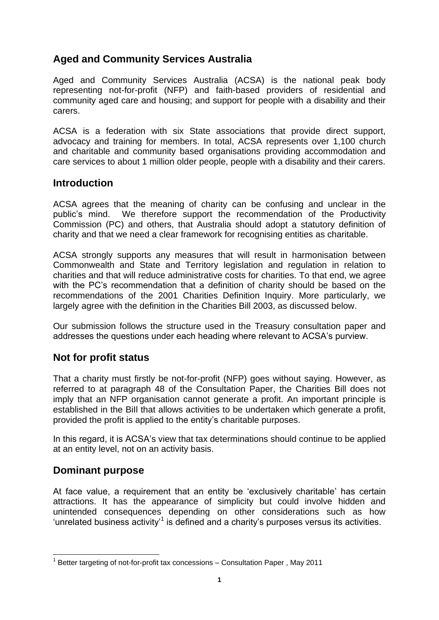# **Aged and Community Services Australia**

Aged and Community Services Australia (ACSA) is the national peak body representing not-for-profit (NFP) and faith-based providers of residential and community aged care and housing; and support for people with a disability and their carers.

ACSA is a federation with six State associations that provide direct support, advocacy and training for members. In total, ACSA represents over 1,100 church and charitable and community based organisations providing accommodation and care services to about 1 million older people, people with a disability and their carers.

### **Introduction**

ACSA agrees that the meaning of charity can be confusing and unclear in the public's mind. We therefore support the recommendation of the Productivity Commission (PC) and others, that Australia should adopt a statutory definition of charity and that we need a clear framework for recognising entities as charitable.

ACSA strongly supports any measures that will result in harmonisation between Commonwealth and State and Territory legislation and regulation in relation to charities and that will reduce administrative costs for charities. To that end, we agree with the PC's recommendation that a definition of charity should be based on the recommendations of the 2001 Charities Definition Inquiry. More particularly, we largely agree with the definition in the Charities Bill 2003, as discussed below.

Our submission follows the structure used in the Treasury consultation paper and addresses the questions under each heading where relevant to ACSA's purview.

## **Not for profit status**

That a charity must firstly be not-for-profit (NFP) goes without saying. However, as referred to at paragraph 48 of the Consultation Paper, the Charities Bill does not imply that an NFP organisation cannot generate a profit. An important principle is established in the BiIl that allows activities to be undertaken which generate a profit, provided the profit is applied to the entity's charitable purposes.

In this regard, it is ACSA's view that tax determinations should continue to be applied at an entity level, not on an activity basis.

## **Dominant purpose**

<u>.</u>

At face value, a requirement that an entity be 'exclusively charitable' has certain attractions. It has the appearance of simplicity but could involve hidden and unintended consequences depending on other considerations such as how 'unrelated business activity<sup>1</sup> is defined and a charity's purposes versus its activities.

 $1$  Better targeting of not-for-profit tax concessions  $-$  Consultation Paper, May 2011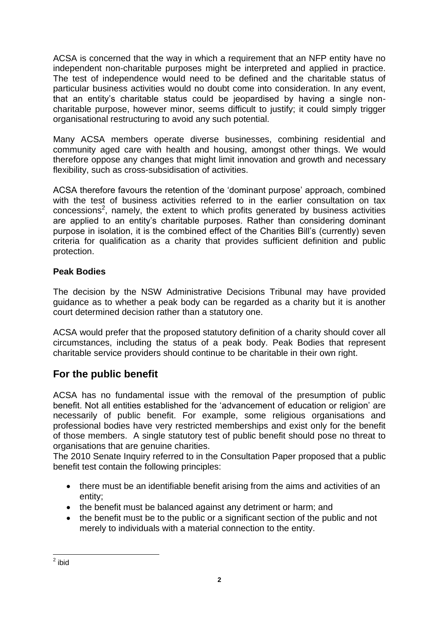ACSA is concerned that the way in which a requirement that an NFP entity have no independent non-charitable purposes might be interpreted and applied in practice. The test of independence would need to be defined and the charitable status of particular business activities would no doubt come into consideration. In any event, that an entity's charitable status could be jeopardised by having a single noncharitable purpose, however minor, seems difficult to justify; it could simply trigger organisational restructuring to avoid any such potential.

Many ACSA members operate diverse businesses, combining residential and community aged care with health and housing, amongst other things. We would therefore oppose any changes that might limit innovation and growth and necessary flexibility, such as cross-subsidisation of activities.

ACSA therefore favours the retention of the 'dominant purpose' approach, combined with the test of business activities referred to in the earlier consultation on tax  $concessions<sup>2</sup>$ , namely, the extent to which profits generated by business activities are applied to an entity's charitable purposes. Rather than considering dominant purpose in isolation, it is the combined effect of the Charities Bill's (currently) seven criteria for qualification as a charity that provides sufficient definition and public protection.

### **Peak Bodies**

The decision by the NSW Administrative Decisions Tribunal may have provided guidance as to whether a peak body can be regarded as a charity but it is another court determined decision rather than a statutory one.

ACSA would prefer that the proposed statutory definition of a charity should cover all circumstances, including the status of a peak body. Peak Bodies that represent charitable service providers should continue to be charitable in their own right.

# **For the public benefit**

ACSA has no fundamental issue with the removal of the presumption of public benefit. Not all entities established for the 'advancement of education or religion' are necessarily of public benefit. For example, some religious organisations and professional bodies have very restricted memberships and exist only for the benefit of those members. A single statutory test of public benefit should pose no threat to organisations that are genuine charities.

The 2010 Senate Inquiry referred to in the Consultation Paper proposed that a public benefit test contain the following principles:

- there must be an identifiable benefit arising from the aims and activities of an entity;
- the benefit must be balanced against any detriment or harm; and
- the benefit must be to the public or a significant section of the public and not merely to individuals with a material connection to the entity.

<sup>&</sup>lt;u>2</u><br>aibid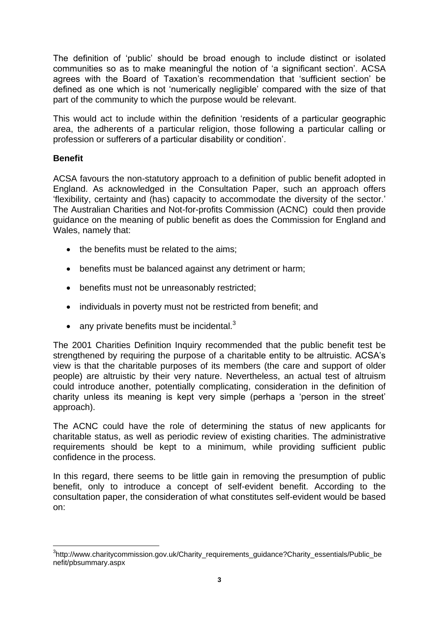The definition of 'public' should be broad enough to include distinct or isolated communities so as to make meaningful the notion of 'a significant section'. ACSA agrees with the Board of Taxation's recommendation that 'sufficient section' be defined as one which is not 'numerically negligible' compared with the size of that part of the community to which the purpose would be relevant.

This would act to include within the definition 'residents of a particular geographic area, the adherents of a particular religion, those following a particular calling or profession or sufferers of a particular disability or condition'.

#### **Benefit**

1

ACSA favours the non-statutory approach to a definition of public benefit adopted in England. As acknowledged in the Consultation Paper, such an approach offers 'flexibility, certainty and (has) capacity to accommodate the diversity of the sector.' The Australian Charities and Not-for-profits Commission (ACNC) could then provide guidance on the meaning of public benefit as does the Commission for England and Wales, namely that:

- the benefits must be related to the aims:
- benefits must be balanced against any detriment or harm;
- benefits must not be unreasonably restricted;
- individuals in poverty must not be restricted from benefit: and
- any private benefits must be incidental. $3$

The 2001 Charities Definition Inquiry recommended that the public benefit test be strengthened by requiring the purpose of a charitable entity to be altruistic. ACSA's view is that the charitable purposes of its members (the care and support of older people) are altruistic by their very nature. Nevertheless, an actual test of altruism could introduce another, potentially complicating, consideration in the definition of charity unless its meaning is kept very simple (perhaps a 'person in the street' approach).

The ACNC could have the role of determining the status of new applicants for charitable status, as well as periodic review of existing charities. The administrative requirements should be kept to a minimum, while providing sufficient public confidence in the process.

In this regard, there seems to be little gain in removing the presumption of public benefit, only to introduce a concept of self-evident benefit. According to the consultation paper, the consideration of what constitutes self-evident would be based on:

<sup>&</sup>lt;sup>3</sup>[http://www.charitycommission.gov.uk/Charity\\_requirements\\_guidance?Charity\\_essentials/Public\\_be](http://www.charitycommission.gov.uk/Charity_requirements_guidance?Charity_essentials/Public_benefit/pbsummary.aspx) [nefit/pbsummary.aspx](http://www.charitycommission.gov.uk/Charity_requirements_guidance?Charity_essentials/Public_benefit/pbsummary.aspx)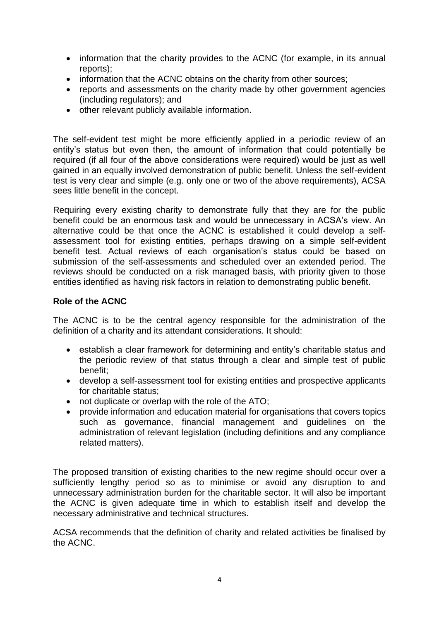- information that the charity provides to the ACNC (for example, in its annual reports);
- information that the ACNC obtains on the charity from other sources:
- reports and assessments on the charity made by other government agencies (including regulators); and
- other relevant publicly available information.

The self-evident test might be more efficiently applied in a periodic review of an entity's status but even then, the amount of information that could potentially be required (if all four of the above considerations were required) would be just as well gained in an equally involved demonstration of public benefit. Unless the self-evident test is very clear and simple (e.g. only one or two of the above requirements), ACSA sees little benefit in the concept.

Requiring every existing charity to demonstrate fully that they are for the public benefit could be an enormous task and would be unnecessary in ACSA's view. An alternative could be that once the ACNC is established it could develop a selfassessment tool for existing entities, perhaps drawing on a simple self-evident benefit test. Actual reviews of each organisation's status could be based on submission of the self-assessments and scheduled over an extended period. The reviews should be conducted on a risk managed basis, with priority given to those entities identified as having risk factors in relation to demonstrating public benefit.

#### **Role of the ACNC**

The ACNC is to be the central agency responsible for the administration of the definition of a charity and its attendant considerations. It should:

- establish a clear framework for determining and entity's charitable status and the periodic review of that status through a clear and simple test of public benefit;
- develop a self-assessment tool for existing entities and prospective applicants for charitable status;
- not duplicate or overlap with the role of the ATO;
- provide information and education material for organisations that covers topics such as governance, financial management and guidelines on the administration of relevant legislation (including definitions and any compliance related matters).

The proposed transition of existing charities to the new regime should occur over a sufficiently lengthy period so as to minimise or avoid any disruption to and unnecessary administration burden for the charitable sector. It will also be important the ACNC is given adequate time in which to establish itself and develop the necessary administrative and technical structures.

ACSA recommends that the definition of charity and related activities be finalised by the ACNC.